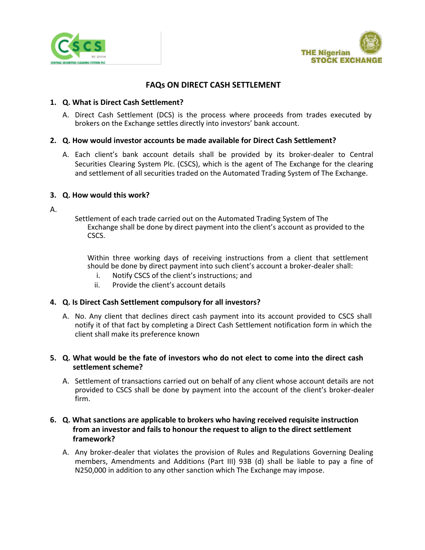



# **FAQs ON DIRECT CASH SETTLEMENT**

## **1. Q. What is Direct Cash Settlement?**

A. Direct Cash Settlement (DCS) is the process where proceeds from trades executed by brokers on the Exchange settles directly into investors' bank account.

### **2. Q. How would investor accounts be made available for Direct Cash Settlement?**

A. Each client's bank account details shall be provided by its broker-dealer to Central Securities Clearing System Plc. (CSCS), which is the agent of The Exchange for the clearing and settlement of all securities traded on the Automated Trading System of The Exchange.

### **3. Q. How would this work?**

A.

Settlement of each trade carried out on the Automated Trading System of The Exchange shall be done by direct payment into the client's account as provided to the CSCS.

Within three working days of receiving instructions from a client that settlement should be done by direct payment into such client's account a broker-dealer shall:

- i. Notify CSCS of the client's instructions; and
- ii. Provide the client's account details

#### **4. Q. Is Direct Cash Settlement compulsory for all investors?**

A. No. Any client that declines direct cash payment into its account provided to CSCS shall notify it of that fact by completing a Direct Cash Settlement notification form in which the client shall make its preference known

# **5. Q. What would be the fate of investors who do not elect to come into the direct cash settlement scheme?**

A. Settlement of transactions carried out on behalf of any client whose account details are not provided to CSCS shall be done by payment into the account of the client's broker-dealer firm.

# **6. Q. What sanctions are applicable to brokers who having received requisite instruction from an investor and fails to honour the request to align to the direct settlement framework?**

A. Any broker-dealer that violates the provision of Rules and Regulations Governing Dealing members, Amendments and Additions (Part III) 93B (d) shall be liable to pay a fine of N250,000 in addition to any other sanction which The Exchange may impose.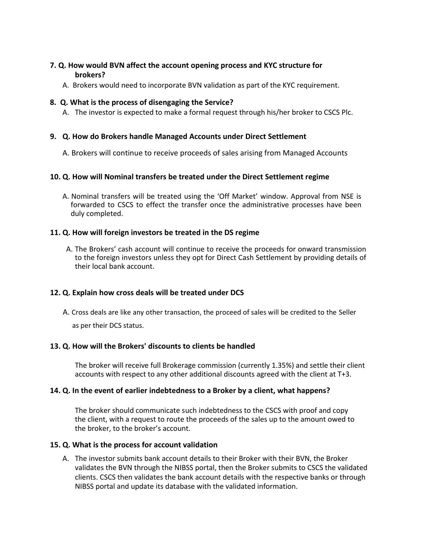# **7. Q. How would BVN affect the account opening process and KYC structure for brokers?**

A. Brokers would need to incorporate BVN validation as part of the KYC requirement.

# **8. Q. What is the process of disengaging the Service?**

A. The investor is expected to make a formal request through his/her broker to CSCS Plc.

# **9. Q. How do Brokers handle Managed Accounts under Direct Settlement**

A. Brokers will continue to receive proceeds of sales arising from Managed Accounts

### **10. Q. How will Nominal transfers be treated under the Direct Settlement regime**

A. Nominal transfers will be treated using the 'Off Market' window. Approval from NSE is forwarded to CSCS to effect the transfer once the administrative processes have been duly completed.

### **11. Q. How will foreign investors be treated in the DS regime**

A. The Brokers' cash account will continue to receive the proceeds for onward transmission to the foreign investors unless they opt for Direct Cash Settlement by providing details of their local bank account.

# **12. Q. Explain how cross deals will be treated under DCS**

A. Cross deals are like any other transaction, the proceed of sales will be credited to the Seller

as per their DCS status.

#### **13. Q. How will the Brokers' discounts to clients be handled**

The broker will receive full Brokerage commission (currently 1.35%) and settle their client accounts with respect to any other additional discounts agreed with the client at T+3.

#### **14. Q. In the event of earlier indebtedness to a Broker by a client, what happens?**

The broker should communicate such indebtedness to the CSCS with proof and copy the client, with a request to route the proceeds of the sales up to the amount owed to the broker, to the broker's account.

#### **15. Q. What is the process for account validation**

A. The investor submits bank account details to their Broker with their BVN, the Broker validates the BVN through the NIBSS portal, then the Broker submits to CSCS the validated clients. CSCS then validates the bank account details with the respective banks or through NIBSS portal and update its database with the validated information.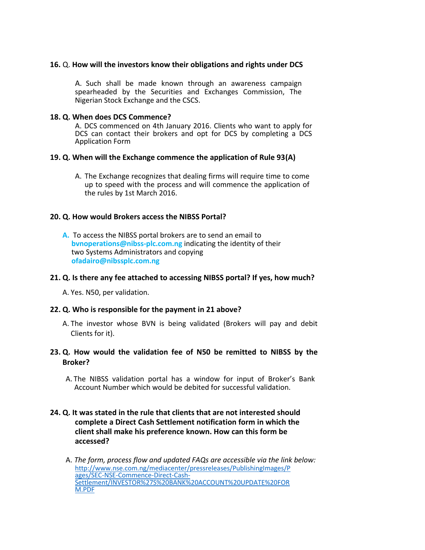### **16.** Q. **How will the investors know their obligations and rights under DCS**

A. Such shall be made known through an awareness campaign spearheaded by the Securities and Exchanges Commission, The Nigerian Stock Exchange and the CSCS.

#### **18. Q. When does DCS Commence?**

A. DCS commenced on 4th January 2016. Clients who want to apply for DCS can contact their brokers and opt for DCS by completing a DCS Application Form

#### **19. Q. When will the Exchange commence the application of Rule 93(A)**

A. The Exchange recognizes that dealing firms will require time to come up to speed with the process and will commence the application of the rules by 1st March 2016.

#### **20. Q. How would Brokers access the NIBSS Portal?**

**A.** To access the NIBSS portal brokers are to send an email to **[bvnoperations@nibss-plc.com.ng](mailto:bvnoperations@nibss-plc.com)** indicating the identity of their two Systems Administrators and copying **ofadairo@nibssplc.com.ng**

### **21. Q. Is there any fee attached to accessing NIBSS portal? If yes, how much?**

A. Yes. N50, per validation.

#### **22. Q. Who is responsible for the payment in 21 above?**

- A. The investor whose BVN is being validated (Brokers will pay and debit Clients for it).
- **23. Q. How would the validation fee of N50 be remitted to NIBSS by the Broker?**
	- A. The NIBSS validation portal has a window for input of Broker's Bank Account Number which would be debited for successful validation.

# **24. Q. It was stated in the rule that clients that are not interested should complete a Direct Cash Settlement notification form in which the client shall make his preference known. How can this form be accessed?**

A. *The form, process flow and updated FAQs are accessible via the link below:* [http://www.nse.com.ng/mediacenter/pressreleases/PublishingImages/P](http://www.nse.com.ng/mediacenter/pressreleases/PublishingImages/Pages/SEC-NSE-Commence-Direct-Cash-Settlement/INVESTOR%27S%20BANK%20ACCOUNT%20UPDATE%20FORM.PDF) [ages/SEC-NSE-Commence-Direct-Cash-](http://www.nse.com.ng/mediacenter/pressreleases/PublishingImages/Pages/SEC-NSE-Commence-Direct-Cash-Settlement/INVESTOR%27S%20BANK%20ACCOUNT%20UPDATE%20FORM.PDF)[Settlement/INVESTOR%27S%20BANK%20ACCOUNT%20UPDATE%20FOR](http://www.nse.com.ng/mediacenter/pressreleases/PublishingImages/Pages/SEC-NSE-Commence-Direct-Cash-Settlement/INVESTOR%27S%20BANK%20ACCOUNT%20UPDATE%20FORM.PDF) [M.PDF](http://www.nse.com.ng/mediacenter/pressreleases/PublishingImages/Pages/SEC-NSE-Commence-Direct-Cash-Settlement/INVESTOR%27S%20BANK%20ACCOUNT%20UPDATE%20FORM.PDF)